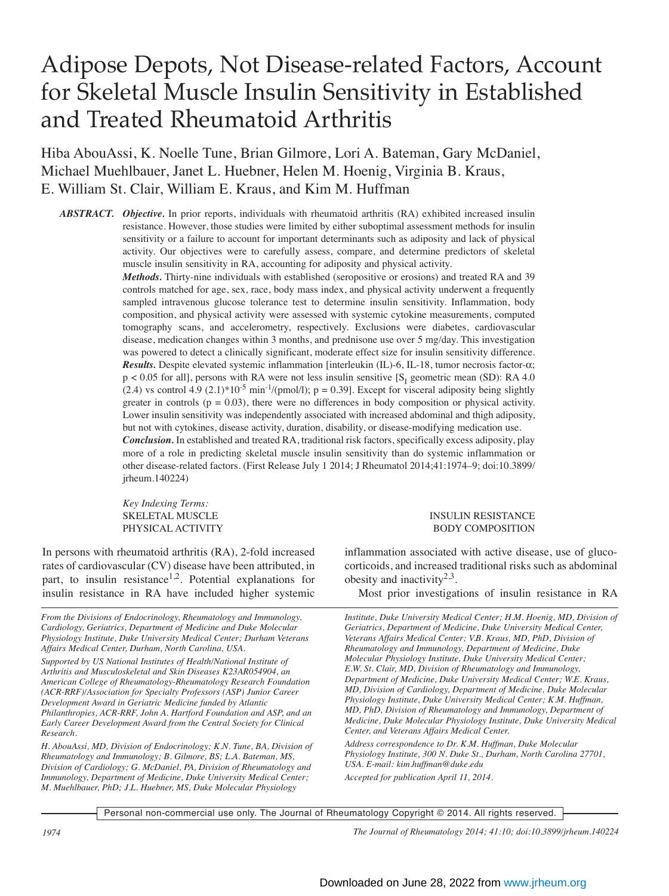# Adipose Depots, Not Disease-related Factors, Account for Skeletal Muscle Insulin Sensitivity in Established and Treated Rheumatoid Arthritis

Hiba AbouAssi, K. Noelle Tune, Brian Gilmore, Lori A. Bateman, Gary McDaniel, Michael Muehlbauer, Janet L. Huebner, Helen M. Hoenig, Virginia B. Kraus, E. William St. Clair, William E. Kraus, and Kim M. Huffman

*ABSTRACT. Objective.* In prior reports, individuals with rheumatoid arthritis (RA) exhibited increased insulin resistance. However, those studies were limited by either suboptimal assessment methods for insulin sensitivity or a failure to account for important determinants such as adiposity and lack of physical activity. Our objectives were to carefully assess, compare, and determine predictors of skeletal muscle insulin sensitivity in RA, accounting for adiposity and physical activity.

> *Methods.* Thirty-nine individuals with established (seropositive or erosions) and treated RA and 39 controls matched for age, sex, race, body mass index, and physical activity underwent a frequently sampled intravenous glucose tolerance test to determine insulin sensitivity. Inflammation, body composition, and physical activity were assessed with systemic cytokine measurements, computed tomography scans, and accelerometry, respectively. Exclusions were diabetes, cardiovascular disease, medication changes within 3 months, and prednisone use over 5 mg/day. This investigation was powered to detect a clinically significant, moderate effect size for insulin sensitivity difference. *Results.* Despite elevated systemic inflammation [interleukin (IL)-6, IL-18, tumor necrosis factor-α;  $p < 0.05$  for all], persons with RA were not less insulin sensitive [S<sub>I</sub> geometric mean (SD): RA 4.0  $(2.4)$  vs control 4.9 (2.1)\*10<sup>-5</sup> min<sup>-1</sup>/(pmol/l); p = 0.39]. Except for visceral adiposity being slightly greater in controls ( $p = 0.03$ ), there were no differences in body composition or physical activity. Lower insulin sensitivity was independently associated with increased abdominal and thigh adiposity, but not with cytokines, disease activity, duration, disability, or disease-modifying medication use. *Conclusion.* In established and treated RA, traditional risk factors, specifically excess adiposity, play more of a role in predicting skeletal muscle insulin sensitivity than do systemic inflammation or other disease-related factors. (First Release July 1 2014; J Rheumatol 2014;41:1974–9; doi:10.3899/ jrheum.140224)

*Key Indexing Terms:* 

In persons with rheumatoid arthritis (RA), 2-fold increased rates of cardiovascular (CV) disease have been attributed, in part, to insulin resistance<sup>1,2</sup>. Potential explanations for insulin resistance in RA have included higher systemic

*From the Divisions of Endocrinology, Rheumatology and Immunology, Cardiology, Geriatrics, Department of Medicine and Duke Molecular Physiology Institute, Duke University Medical Center; Durham Veterans Affairs Medical Center, Durham, North Carolina, USA.* 

*Supported by US National Institutes of Health/National Institute of Arthritis and Musculoskeletal and Skin Diseases K23AR054904, an American College of Rheumatology-Rheumatology Research Foundation (ACR-RRF)/Association for Specialty Professors (ASP) Junior Career Development Award in Geriatric Medicine funded by Atlantic Philanthropies, ACR-RRF, John A. Hartford Foundation and ASP, and an Early Career Development Award from the Central Society for Clinical Research.*

*H. AbouAssi, MD, Division of Endocrinology; K.N. Tune, BA, Division of Rheumatology and Immunology; B. Gilmore, BS; L.A. Bateman, MS, Division of Cardiology; G. McDaniel, PA, Division of Rheumatology and Immunology, Department of Medicine, Duke University Medical Center; M. Muehlbauer, PhD; J.L. Huebner, MS, Duke Molecular Physiology*

#### SKELETAL MUSCLE INSULIN RESISTANCE PHYSICAL ACTIVITY **EXECUTE ACTIVITY** BODY COMPOSITION

inflammation associated with active disease, use of glucocorticoids, and increased traditional risks such as abdominal obesity and inactivity<sup>2,3</sup>.

Most prior investigations of insulin resistance in RA

*Institute, Duke University Medical Center; H.M. Hoenig, MD, Division of Geriatrics, Department of Medicine, Duke University Medical Center, Veterans Affairs Medical Center; V.B. Kraus, MD, PhD, Division of Rheumatology and Immunology, Department of Medicine, Duke Molecular Physiology Institute, Duke University Medical Center; E.W. St. Clair, MD, Division of Rheumatology and Immunology, Department of Medicine, Duke University Medical Center; W.E. Kraus, MD, Division of Cardiology, Department of Medicine, Duke Molecular Physiology Institute, Duke University Medical Center; K.M. Huffman, MD, PhD, Division of Rheumatology and Immunology, Department of Medicine, Duke Molecular Physiology Institute, Duke University Medical Center, and Veterans Affairs Medical Center.* 

*Address correspondence to Dr. K.M. Huffman, Duke Molecular Physiology Institute, 300 N. Duke St., Durham, North Carolina 27701, USA. E-mail: kim.huffman@duke.edu Accepted for publication April 11, 2014.*

Personal non-commercial use only. The Journal of Rheumatology Copyright © 2014. All rights reserved.

*1974 The Journal of Rheumatology 2014; 41:10; doi:10.3899/jrheum.140224*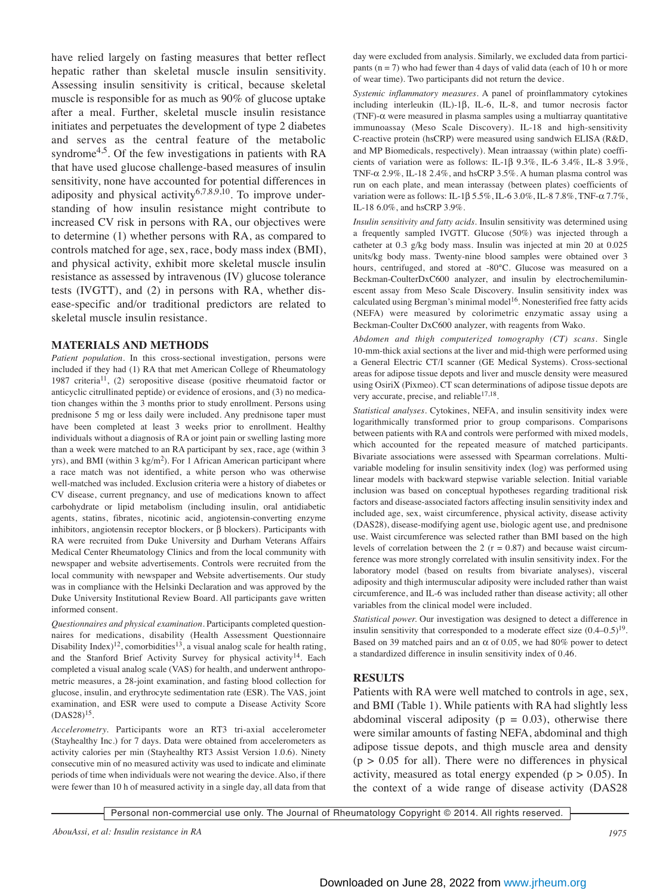have relied largely on fasting measures that better reflect hepatic rather than skeletal muscle insulin sensitivity. Assessing insulin sensitivity is critical, because skeletal muscle is responsible for as much as 90% of glucose uptake after a meal. Further, skeletal muscle insulin resistance initiates and perpetuates the development of type 2 diabetes and serves as the central feature of the metabolic syndrome<sup>4,5</sup>. Of the few investigations in patients with RA that have used glucose challenge-based measures of insulin sensitivity, none have accounted for potential differences in adiposity and physical activity<sup>6,7,8,9,10</sup>. To improve understanding of how insulin resistance might contribute to increased CV risk in persons with RA, our objectives were to determine (1) whether persons with RA, as compared to controls matched for age, sex, race, body mass index (BMI), and physical activity, exhibit more skeletal muscle insulin resistance as assessed by intravenous (IV) glucose tolerance tests (IVGTT), and (2) in persons with RA, whether disease-specific and/or traditional predictors are related to skeletal muscle insulin resistance.

#### **MATERIALS AND METHODS**

*Patient population.* In this cross-sectional investigation, persons were included if they had (1) RA that met American College of Rheumatology 1987 criteria<sup>11</sup>, (2) seropositive disease (positive rheumatoid factor or anticyclic citrullinated peptide) or evidence of erosions, and (3) no medication changes within the 3 months prior to study enrollment. Persons using prednisone 5 mg or less daily were included. Any prednisone taper must have been completed at least 3 weeks prior to enrollment. Healthy individuals without a diagnosis of RA or joint pain or swelling lasting more than a week were matched to an RA participant by sex, race, age (within 3 yrs), and BMI (within  $3 \text{ kg/m}^2$ ). For 1 African American participant where a race match was not identified, a white person who was otherwise well-matched was included. Exclusion criteria were a history of diabetes or CV disease, current pregnancy, and use of medications known to affect carbohydrate or lipid metabolism (including insulin, oral antidiabetic agents, statins, fibrates, nicotinic acid, angiotensin-converting enzyme inhibitors, angiotensin receptor blockers, or β blockers). Participants with RA were recruited from Duke University and Durham Veterans Affairs Medical Center Rheumatology Clinics and from the local community with newspaper and website advertisements. Controls were recruited from the local community with newspaper and Website advertisements. Our study was in compliance with the Helsinki Declaration and was approved by the Duke University Institutional Review Board. All participants gave written informed consent.

*Questionnaires and physical examination.* Participants completed questionnaires for medications, disability (Health Assessment Questionnaire Disability Index)<sup>12</sup>, comorbidities<sup>13</sup>, a visual analog scale for health rating, and the Stanford Brief Activity Survey for physical activity<sup>14</sup>. Each completed a visual analog scale (VAS) for health, and underwent anthropometric measures, a 28-joint examination, and fasting blood collection for glucose, insulin, and erythrocyte sedimentation rate (ESR). The VAS, joint examination, and ESR were used to compute a Disease Activity Score  $(DAS28)^{15}$ .

*Accelerometry.* Participants wore an RT3 tri-axial accelerometer (Stayhealthy Inc.) for 7 days. Data were obtained from accelerometers as activity calories per min (Stayhealthy RT3 Assist Version 1.0.6). Ninety consecutive min of no measured activity was used to indicate and eliminate periods of time when individuals were not wearing the device. Also, if there were fewer than 10 h of measured activity in a single day, all data from that day were excluded from analysis. Similarly, we excluded data from participants ( $n = 7$ ) who had fewer than 4 days of valid data (each of 10 h or more of wear time). Two participants did not return the device.

*Systemic inflammatory measures.* A panel of proinflammatory cytokines including interleukin (IL)-1β, IL-6, IL-8, and tumor necrosis factor (TNF)-α were measured in plasma samples using a multiarray quantitative immunoassay (Meso Scale Discovery). IL-18 and high-sensitivity C-reactive protein (hsCRP) were measured using sandwich ELISA (R&D, and MP Biomedicals, respectively). Mean intraassay (within plate) coefficients of variation were as follows: IL-1β 9.3%, IL-6 3.4%, IL-8 3.9%, TNF- $\alpha$  2.9%, IL-18 2.4%, and hsCRP 3.5%. A human plasma control was run on each plate, and mean interassay (between plates) coefficients of variation were as follows: IL-1β 5.5%, IL-6 3.0%, IL-8 7.8%, TNF-α 7.7%, IL-18 6.0%, and hsCRP 3.9%.

*Insulin sensitivity and fatty acids.* Insulin sensitivity was determined using a frequently sampled IVGTT. Glucose (50%) was injected through a catheter at 0.3 g/kg body mass. Insulin was injected at min 20 at 0.025 units/kg body mass. Twenty-nine blood samples were obtained over 3 hours, centrifuged, and stored at -80°C. Glucose was measured on a Beckman-CoulterDxC600 analyzer, and insulin by electrochemiluminescent assay from Meso Scale Discovery. Insulin sensitivity index was calculated using Bergman's minimal model<sup>16</sup>. Nonesterified free fatty acids (NEFA) were measured by colorimetric enzymatic assay using a Beckman-Coulter DxC600 analyzer, with reagents from Wako.

*Abdomen and thigh computerized tomography (CT) scans.* Single 10-mm-thick axial sections at the liver and mid-thigh were performed using a General Electric CT/I scanner (GE Medical Systems). Cross-sectional areas for adipose tissue depots and liver and muscle density were measured using OsiriX (Pixmeo). CT scan determinations of adipose tissue depots are very accurate, precise, and reliable $17,18$ .

*Statistical analyses.* Cytokines, NEFA, and insulin sensitivity index were logarithmically transformed prior to group comparisons. Comparisons between patients with RA and controls were performed with mixed models, which accounted for the repeated measure of matched participants. Bivariate associations were assessed with Spearman correlations. Multivariable modeling for insulin sensitivity index (log) was performed using linear models with backward stepwise variable selection. Initial variable inclusion was based on conceptual hypotheses regarding traditional risk factors and disease-associated factors affecting insulin sensitivity index and included age, sex, waist circumference, physical activity, disease activity (DAS28), disease-modifying agent use, biologic agent use, and prednisone use. Waist circumference was selected rather than BMI based on the high levels of correlation between the 2 ( $r = 0.87$ ) and because waist circumference was more strongly correlated with insulin sensitivity index. For the laboratory model (based on results from bivariate analyses), visceral adiposity and thigh intermuscular adiposity were included rather than waist circumference, and IL-6 was included rather than disease activity; all other variables from the clinical model were included.

*Statistical power.* Our investigation was designed to detect a difference in insulin sensitivity that corresponded to a moderate effect size  $(0.4-0.5)^{19}$ . Based on 39 matched pairs and an  $\alpha$  of 0.05, we had 80% power to detect a standardized difference in insulin sensitivity index of 0.46.

## **RESULTS**

Patients with RA were well matched to controls in age, sex, and BMI (Table 1). While patients with RA had slightly less abdominal visceral adiposity ( $p = 0.03$ ), otherwise there were similar amounts of fasting NEFA, abdominal and thigh adipose tissue depots, and thigh muscle area and density  $(p > 0.05$  for all). There were no differences in physical activity, measured as total energy expended ( $p > 0.05$ ). In the context of a wide range of disease activity (DAS28

Personal non-commercial use only. The Journal of Rheumatology Copyright © 2014. All rights reserved.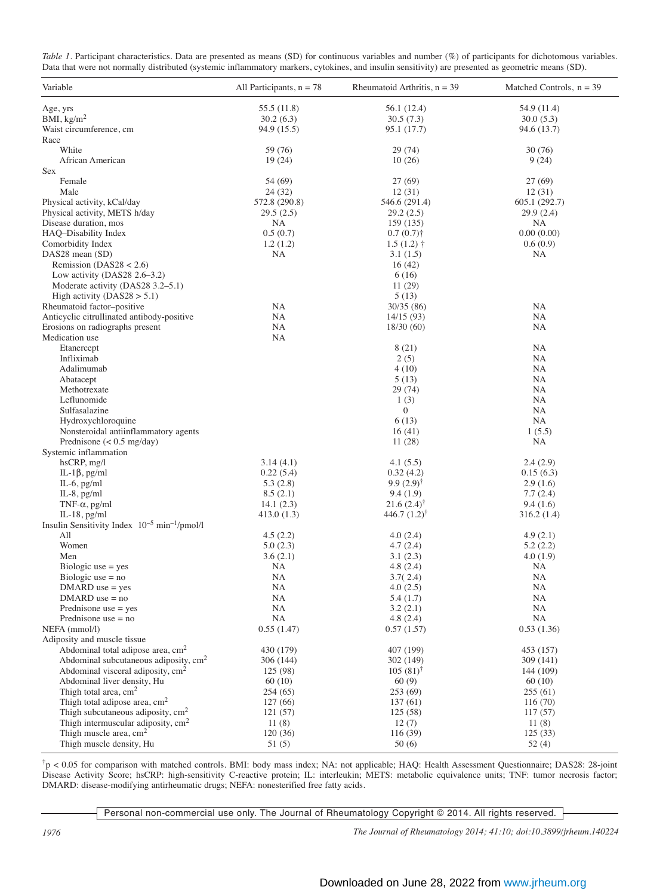| Table 1. Participant characteristics. Data are presented as means (SD) for continuous variables and number (%) of participants for dichotomous variables. |  |  |  |  |  |
|-----------------------------------------------------------------------------------------------------------------------------------------------------------|--|--|--|--|--|
| Data that were not normally distributed (systemic inflammatory markers, cytokines, and insulin sensitivity) are presented as geometric means (SD).        |  |  |  |  |  |

| Variable                                                                                 | All Participants, $n = 78$ | Rheumatoid Arthritis, $n = 39$ | Matched Controls, $n = 39$ |
|------------------------------------------------------------------------------------------|----------------------------|--------------------------------|----------------------------|
| Age, yrs                                                                                 | 55.5 (11.8)                | 56.1 (12.4)                    | 54.9 (11.4)                |
| BMI, $kg/m2$                                                                             | 30.2(6.3)                  | 30.5(7.3)                      | 30.0(5.3)                  |
| Waist circumference, cm<br>Race                                                          | 94.9 (15.5)                | 95.1 (17.7)                    | 94.6 (13.7)                |
| White                                                                                    | 59 (76)                    | 29 (74)                        | 30(76)                     |
| African American                                                                         | 19(24)                     | 10(26)                         | 9(24)                      |
| Sex                                                                                      |                            |                                |                            |
| Female                                                                                   | 54 (69)                    | 27 (69)                        | 27 (69)                    |
| Male                                                                                     | 24 (32)                    | 12(31)                         | 12(31)                     |
| Physical activity, kCal/day                                                              | 572.8 (290.8)              | 546.6 (291.4)                  | 605.1 (292.7)              |
| Physical activity, METS h/day                                                            | 29.5(2.5)                  | 29.2(2.5)                      | 29.9 (2.4)                 |
| Disease duration, mos                                                                    | NA                         | 159 (135)                      | NA                         |
| HAQ-Disability Index                                                                     | 0.5(0.7)                   | $0.7(0.7)$ †                   | 0.00(0.00)                 |
| Comorbidity Index                                                                        | 1.2(1.2)                   | $1.5(1.2)$ †                   | 0.6(0.9)                   |
| DAS28 mean (SD)                                                                          | NA                         | 3.1(1.5)                       | NА                         |
| Remission ( $DAS28 < 2.6$ )                                                              |                            | 16(42)                         |                            |
| Low activity (DAS28 $2.6-3.2$ )                                                          |                            | 6(16)                          |                            |
| Moderate activity (DAS28 3.2–5.1)                                                        |                            | 11(29)                         |                            |
| High activity ( $DAS28 > 5.1$ )                                                          |                            | 5(13)                          |                            |
| Rheumatoid factor-positive                                                               | NA                         | 30/35(86)                      | NA                         |
| Anticyclic citrullinated antibody-positive                                               | NA                         | 14/15(93)                      | NA                         |
| Erosions on radiographs present                                                          | NΑ                         | 18/30(60)                      | NА                         |
| Medication use                                                                           | NA                         |                                |                            |
| Etanercept                                                                               |                            | 8 (21)                         | NА                         |
| Infliximab                                                                               |                            | 2(5)                           | NА                         |
| Adalimumab                                                                               |                            | 4(10)                          | NA                         |
| Abatacept<br>Methotrexate                                                                |                            | 5(13)                          | NA                         |
| Leflunomide                                                                              |                            | 29 (74)                        | NA<br>NA                   |
| Sulfasalazine                                                                            |                            | 1(3)<br>$\mathbf{0}$           | NA                         |
| Hydroxychloroquine                                                                       |                            | 6(13)                          | NA                         |
| Nonsteroidal antiinflammatory agents                                                     |                            | 16(41)                         | 1(5.5)                     |
| Prednisone $(< 0.5$ mg/day)                                                              |                            | 11(28)                         | NA                         |
| Systemic inflammation                                                                    |                            |                                |                            |
| $h$ s $CRP, mg/l$                                                                        | 3.14(4.1)                  | 4.1(5.5)                       | 2.4(2.9)                   |
| IL-1 $\beta$ , pg/ml                                                                     | 0.22(5.4)                  | 0.32(4.2)                      | 0.15(6.3)                  |
| IL-6, $pg/ml$                                                                            | 5.3(2.8)                   | $9.9(2.9)^{\dagger}$           | 2.9(1.6)                   |
| IL-8, $pg/ml$                                                                            | 8.5(2.1)                   | 9.4(1.9)                       | 7.7(2.4)                   |
| TNF- $\alpha$ , pg/ml                                                                    | 14.1(2.3)                  | $21.6(2.4)$ <sup>†</sup>       | 9.4(1.6)                   |
| IL-18, $pg/ml$                                                                           | 413.0 (1.3)                | 446.7 $(1.2)$ <sup>†</sup>     | 316.2 (1.4)                |
| Insulin Sensitivity Index $10^{-5}$ min <sup>-1</sup> /pmol/l                            |                            |                                |                            |
| All                                                                                      | 4.5(2.2)                   | 4.0(2.4)                       | 4.9(2.1)                   |
| Women                                                                                    | 5.0(2.3)                   | 4.7(2.4)                       | 5.2(2.2)                   |
| Men                                                                                      | 3.6(2.1)                   | 3.1(2.3)                       | 4.0(1.9)                   |
| $Biologic use = yes$                                                                     | NA                         | 4.8(2.4)                       | NA                         |
| Biologic use $=$ no                                                                      | NΑ                         | 3.7(2.4)                       | NA                         |
| $DMARD$ use = yes                                                                        | NΑ                         | 4.0(2.5)                       | NА                         |
| $DMARD$ use = no                                                                         | NΑ                         | 5.4 (1.7)                      | NA                         |
| Prednisone use $=$ yes                                                                   | NΑ                         | 3.2(2.1)                       | NA                         |
| Prednisone use $=$ no                                                                    | NA                         | 4.8(2.4)                       | NA                         |
| NEFA (mmol/l)                                                                            | 0.55(1.47)                 | 0.57(1.57)                     | 0.53(1.36)                 |
| Adiposity and muscle tissue                                                              |                            |                                |                            |
| Abdominal total adipose area, $cm2$<br>Abdominal subcutaneous adiposity, cm <sup>2</sup> | 430 (179)                  | 407 (199)                      | 453 (157)                  |
| Abdominal visceral adiposity, cm <sup>2</sup>                                            | 306 (144)<br>125 (98)      | 302 (149)                      | 309 (141)                  |
| Abdominal liver density, Hu                                                              | 60(10)                     | $105(81)^{T}$<br>60(9)         | 144 (109)<br>60 (10)       |
| Thigh total area, $cm2$                                                                  | 254(65)                    | 253 (69)                       | 255(61)                    |
| Thigh total adipose area, $cm2$                                                          | 127(66)                    | 137(61)                        | 116 (70)                   |
| Thigh subcutaneous adiposity, $cm2$                                                      | 121(57)                    | 125(58)                        | 117(57)                    |
| Thigh intermuscular adiposity, cm <sup>2</sup>                                           | 11(8)                      | 12(7)                          | 11(8)                      |
| Thigh muscle area, cm <sup>2</sup>                                                       | 120(36)                    | 116(39)                        | 125(33)                    |
| Thigh muscle density, Hu                                                                 | 51(5)                      | 50(6)                          | 52(4)                      |
|                                                                                          |                            |                                |                            |

†p < 0.05 for comparison with matched controls. BMI: body mass index; NA: not applicable; HAQ: Health Assessment Questionnaire; DAS28: 28-joint Disease Activity Score; hsCRP: high-sensitivity C-reactive protein; IL: interleukin; METS: metabolic equivalence units; TNF: tumor necrosis factor; DMARD: disease-modifying antirheumatic drugs; NEFA: nonesterified free fatty acids.

Personal non-commercial use only. The Journal of Rheumatology Copyright © 2014. All rights reserved.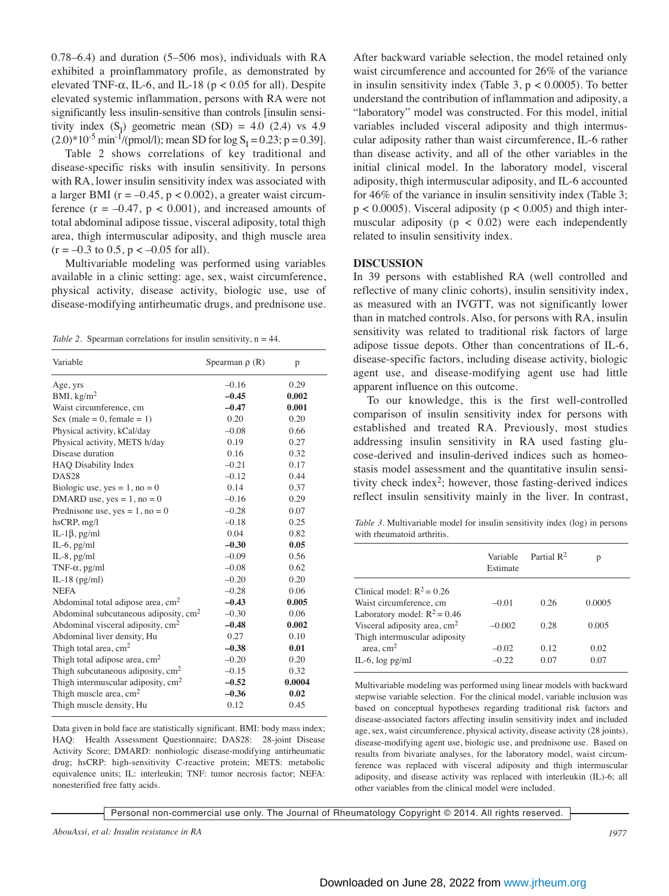0.78–6.4) and duration (5–506 mos), individuals with RA exhibited a proinflammatory profile, as demonstrated by elevated TNF- $\alpha$ , IL-6, and IL-18 ( $p < 0.05$  for all). Despite elevated systemic inflammation, persons with RA were not significantly less insulin-sensitive than controls [insulin sensitivity index  $(S<sub>1</sub>)$  geometric mean  $(SD) = 4.0$  (2.4) vs 4.9  $(2.0)^*10^{-5}$  min<sup>-1</sup>/(pmol/l); mean SD for log S<sub>I</sub> = 0.23; p = 0.39].

Table 2 shows correlations of key traditional and disease-specific risks with insulin sensitivity. In persons with RA, lower insulin sensitivity index was associated with a larger BMI ( $r = -0.45$ ,  $p < 0.002$ ), a greater waist circumference  $(r = -0.47, p < 0.001)$ , and increased amounts of total abdominal adipose tissue, visceral adiposity, total thigh area, thigh intermuscular adiposity, and thigh muscle area  $(r = -0.3 \text{ to } 0.5, p < -0.05 \text{ for all}).$ 

Multivariable modeling was performed using variables available in a clinic setting: age, sex, waist circumference, physical activity, disease activity, biologic use, use of disease-modifying antirheumatic drugs, and prednisone use.

*Table 2.* Spearman correlations for insulin sensitivity, n = 44.

| Variable                                      | Spearman $\rho$ (R) | p      |
|-----------------------------------------------|---------------------|--------|
| Age, yrs                                      | $-0.16$             | 0.29   |
| BMI, $\text{kg/m}^2$                          | $-0.45$             | 0.002  |
| Waist circumference, cm                       | $-0.47$             | 0.001  |
| Sex (male = $0$ , female = $1$ )              | 0.20                | 0.20   |
| Physical activity, kCal/day                   | $-0.08$             | 0.66   |
| Physical activity, METS h/day                 | 0.19                | 0.27   |
| Disease duration                              | 0.16                | 0.32   |
| HAQ Disability Index                          | $-0.21$             | 0.17   |
| DAS <sub>28</sub>                             | $-0.12$             | 0.44   |
| Biologic use, yes = $1$ , no = 0              | 0.14                | 0.37   |
| DMARD use, $yes = 1$ , $no = 0$               | $-0.16$             | 0.29   |
| Prednisone use, $yes = 1$ , $no = 0$          | $-0.28$             | 0.07   |
| $h$ s $CRP, mg/l$                             | $-0.18$             | 0.25   |
| IL-1 $\beta$ , pg/ml                          | 0.04                | 0.82   |
| $IL-6$ , $pg/ml$                              | $-0.30$             | 0.05   |
| $IL-8$ , pg/ml                                | $-0.09$             | 0.56   |
| TNF- $\alpha$ , pg/ml                         | $-0.08$             | 0.62   |
| IL-18 $(pg/ml)$                               | $-0.20$             | 0.20   |
| <b>NEFA</b>                                   | $-0.28$             | 0.06   |
| Abdominal total adipose area, cm <sup>2</sup> | $-0.43$             | 0.005  |
| Abdominal subcutaneous adiposity, $cm2$       | $-0.30$             | 0.06   |
| Abdominal visceral adiposity, $cm2$           | $-0.48$             | 0.002  |
| Abdominal liver density, Hu                   | 0.27                | 0.10   |
| Thigh total area, $cm2$                       | $-0.38$             | 0.01   |
| Thigh total adipose area, $cm2$               | $-0.20$             | 0.20   |
| Thigh subcutaneous adiposity, $cm2$           | $-0.15$             | 0.32   |
| Thigh intermuscular adiposity, $cm2$          | $-0.52$             | 0.0004 |
| Thigh muscle area, $cm2$                      | $-0.36$             | 0.02   |
| Thigh muscle density, Hu                      | 0.12                | 0.45   |

Data given in bold face are statistically significant. BMI: body mass index; HAQ: Health Assessment Questionnaire; DAS28: 28-joint Disease Activity Score; DMARD: nonbiologic disease-modifying antirheumatic drug; hsCRP: high-sensitivity C-reactive protein; METS: metabolic equivalence units; IL: interleukin; TNF: tumor necrosis factor; NEFA: nonesterified free fatty acids.

After backward variable selection, the model retained only waist circumference and accounted for 26% of the variance in insulin sensitivity index (Table 3,  $p < 0.0005$ ). To better understand the contribution of inflammation and adiposity, a "laboratory" model was constructed. For this model, initial variables included visceral adiposity and thigh intermuscular adiposity rather than waist circumference, IL-6 rather than disease activity, and all of the other variables in the initial clinical model. In the laboratory model, visceral adiposity, thigh intermuscular adiposity, and IL-6 accounted for 46% of the variance in insulin sensitivity index (Table 3;  $p < 0.0005$ ). Visceral adiposity ( $p < 0.005$ ) and thigh intermuscular adiposity ( $p < 0.02$ ) were each independently related to insulin sensitivity index.

## **DISCUSSION**

In 39 persons with established RA (well controlled and reflective of many clinic cohorts), insulin sensitivity index, as measured with an IVGTT, was not significantly lower than in matched controls. Also, for persons with RA, insulin sensitivity was related to traditional risk factors of large adipose tissue depots. Other than concentrations of IL-6, disease-specific factors, including disease activity, biologic agent use, and disease-modifying agent use had little apparent influence on this outcome.

To our knowledge, this is the first well-controlled comparison of insulin sensitivity index for persons with established and treated RA. Previously, most studies addressing insulin sensitivity in RA used fasting glucose-derived and insulin-derived indices such as homeostasis model assessment and the quantitative insulin sensitivity check index<sup>2</sup>; however, those fasting-derived indices reflect insulin sensitivity mainly in the liver. In contrast,

*Table 3.* Multivariable model for insulin sensitivity index (log) in persons with rheumatoid arthritis.

|                                          | Variable<br>Estimate | Partial $\mathbb{R}^2$ | p      |
|------------------------------------------|----------------------|------------------------|--------|
| Clinical model: $R^2 = 0.26$             |                      |                        |        |
| Waist circumference, cm                  | $-0.01$              | 0.26                   | 0.0005 |
| Laboratory model: $R^2 = 0.46$           |                      |                        |        |
| Visceral adiposity area, cm <sup>2</sup> | $-0.002$             | 0.28                   | 0.005  |
| Thigh intermuscular adiposity            |                      |                        |        |
| area, $cm2$                              | $-0.02$              | 0.12                   | 0.02   |
| IL-6, $log$ pg/ml                        | $-0.22$              | 0.07                   | 0.07   |
|                                          |                      |                        |        |

Multivariable modeling was performed using linear models with backward stepwise variable selection. For the clinical model, variable inclusion was based on conceptual hypotheses regarding traditional risk factors and disease-associated factors affecting insulin sensitivity index and included age, sex, waist circumference, physical activity, disease activity (28 joints), disease-modifying agent use, biologic use, and prednisone use. Based on results from bivariate analyses, for the laboratory model, waist circumference was replaced with visceral adiposity and thigh intermuscular adiposity, and disease activity was replaced with interleukin (IL)-6; all other variables from the clinical model were included.

Personal non-commercial use only. The Journal of Rheumatology Copyright © 2014. All rights reserved.

*AbouAssi, et al: Insulin resistance in RA 1977*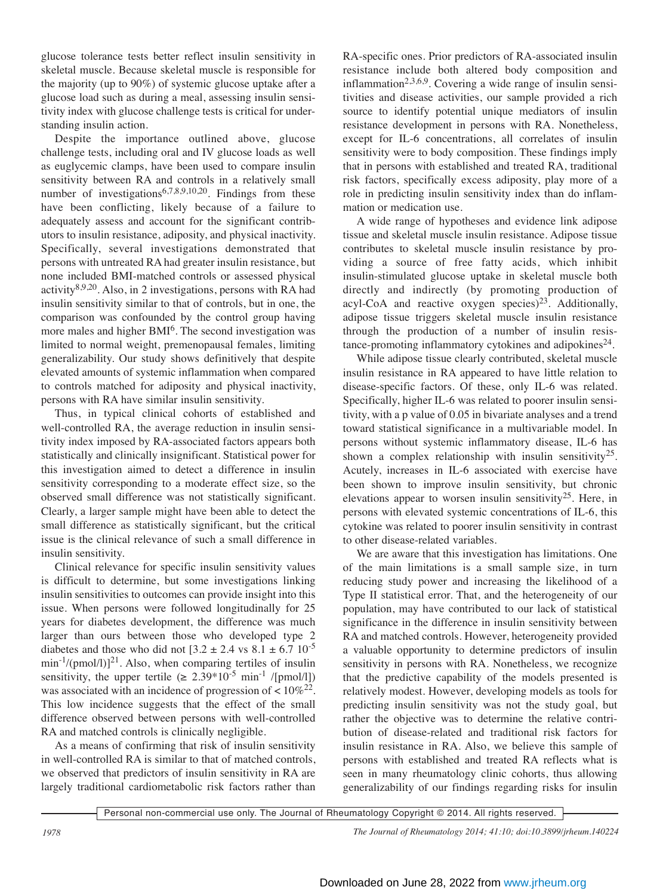glucose tolerance tests better reflect insulin sensitivity in skeletal muscle. Because skeletal muscle is responsible for the majority (up to 90%) of systemic glucose uptake after a glucose load such as during a meal, assessing insulin sensitivity index with glucose challenge tests is critical for understanding insulin action.

Despite the importance outlined above, glucose challenge tests, including oral and IV glucose loads as well as euglycemic clamps, have been used to compare insulin sensitivity between RA and controls in a relatively small number of investigations<sup>6,7,8,9,10,20</sup>. Findings from these have been conflicting, likely because of a failure to adequately assess and account for the significant contributors to insulin resistance, adiposity, and physical inactivity. Specifically, several investigations demonstrated that persons with untreated RA had greater insulin resistance, but none included BMI-matched controls or assessed physical activity<sup>8,9,20</sup>. Also, in 2 investigations, persons with RA had insulin sensitivity similar to that of controls, but in one, the comparison was confounded by the control group having more males and higher BMI<sup>6</sup>. The second investigation was limited to normal weight, premenopausal females, limiting generalizability. Our study shows definitively that despite elevated amounts of systemic inflammation when compared to controls matched for adiposity and physical inactivity, persons with RA have similar insulin sensitivity.

Thus, in typical clinical cohorts of established and well-controlled RA, the average reduction in insulin sensitivity index imposed by RA-associated factors appears both statistically and clinically insignificant. Statistical power for this investigation aimed to detect a difference in insulin sensitivity corresponding to a moderate effect size, so the observed small difference was not statistically significant. Clearly, a larger sample might have been able to detect the small difference as statistically significant, but the critical issue is the clinical relevance of such a small difference in insulin sensitivity.

Clinical relevance for specific insulin sensitivity values is difficult to determine, but some investigations linking insulin sensitivities to outcomes can provide insight into this issue. When persons were followed longitudinally for 25 years for diabetes development, the difference was much larger than ours between those who developed type 2 diabetes and those who did not  $[3.2 \pm 2.4 \text{ vs } 8.1 \pm 6.7 \text{ 10}^{-5}]$  $\min^{-1}$ /(pmol/l)]<sup>21</sup>. Also, when comparing tertiles of insulin sensitivity, the upper tertile ( $\geq 2.39*10^{-5}$  min<sup>-1</sup> /[pmol/l]) was associated with an incidence of progression of  $< 10\%^{22}$ . This low incidence suggests that the effect of the small difference observed between persons with well-controlled RA and matched controls is clinically negligible.

As a means of confirming that risk of insulin sensitivity in well-controlled RA is similar to that of matched controls, we observed that predictors of insulin sensitivity in RA are largely traditional cardiometabolic risk factors rather than

RA-specific ones. Prior predictors of RA-associated insulin resistance include both altered body composition and inflammation<sup>2,3,6,9</sup>. Covering a wide range of insulin sensitivities and disease activities, our sample provided a rich source to identify potential unique mediators of insulin resistance development in persons with RA. Nonetheless, except for IL-6 concentrations, all correlates of insulin sensitivity were to body composition. These findings imply that in persons with established and treated RA, traditional risk factors, specifically excess adiposity, play more of a role in predicting insulin sensitivity index than do inflammation or medication use.

A wide range of hypotheses and evidence link adipose tissue and skeletal muscle insulin resistance. Adipose tissue contributes to skeletal muscle insulin resistance by providing a source of free fatty acids, which inhibit insulin-stimulated glucose uptake in skeletal muscle both directly and indirectly (by promoting production of acyl-CoA and reactive oxygen species) $2<sup>3</sup>$ . Additionally, adipose tissue triggers skeletal muscle insulin resistance through the production of a number of insulin resistance-promoting inflammatory cytokines and adipokines<sup>24</sup>.

While adipose tissue clearly contributed, skeletal muscle insulin resistance in RA appeared to have little relation to disease-specific factors. Of these, only IL-6 was related. Specifically, higher IL-6 was related to poorer insulin sensitivity, with a p value of 0.05 in bivariate analyses and a trend toward statistical significance in a multivariable model. In persons without systemic inflammatory disease, IL-6 has shown a complex relationship with insulin sensitivity<sup>25</sup>. Acutely, increases in IL-6 associated with exercise have been shown to improve insulin sensitivity, but chronic elevations appear to worsen insulin sensitivity<sup>25</sup>. Here, in persons with elevated systemic concentrations of IL-6, this cytokine was related to poorer insulin sensitivity in contrast to other disease-related variables.

We are aware that this investigation has limitations. One of the main limitations is a small sample size, in turn reducing study power and increasing the likelihood of a Type II statistical error. That, and the heterogeneity of our population, may have contributed to our lack of statistical significance in the difference in insulin sensitivity between RA and matched controls. However, heterogeneity provided a valuable opportunity to determine predictors of insulin sensitivity in persons with RA. Nonetheless, we recognize that the predictive capability of the models presented is relatively modest. However, developing models as tools for predicting insulin sensitivity was not the study goal, but rather the objective was to determine the relative contribution of disease-related and traditional risk factors for insulin resistance in RA. Also, we believe this sample of persons with established and treated RA reflects what is seen in many rheumatology clinic cohorts, thus allowing generalizability of our findings regarding risks for insulin

Personal non-commercial use only. The Journal of Rheumatology Copyright © 2014. All rights reserved.

*1978 The Journal of Rheumatology 2014; 41:10; doi:10.3899/jrheum.140224*